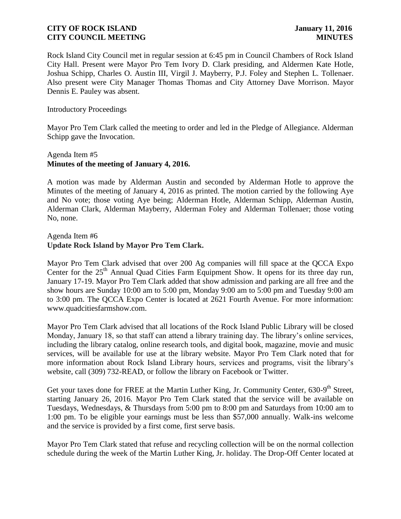Rock Island City Council met in regular session at 6:45 pm in Council Chambers of Rock Island City Hall. Present were Mayor Pro Tem Ivory D. Clark presiding, and Aldermen Kate Hotle, Joshua Schipp, Charles O. Austin III, Virgil J. Mayberry, P.J. Foley and Stephen L. Tollenaer. Also present were City Manager Thomas Thomas and City Attorney Dave Morrison. Mayor Dennis E. Pauley was absent.

#### Introductory Proceedings

Mayor Pro Tem Clark called the meeting to order and led in the Pledge of Allegiance. Alderman Schipp gave the Invocation.

## Agenda Item #5 **Minutes of the meeting of January 4, 2016.**

A motion was made by Alderman Austin and seconded by Alderman Hotle to approve the Minutes of the meeting of January 4, 2016 as printed. The motion carried by the following Aye and No vote; those voting Aye being; Alderman Hotle, Alderman Schipp, Alderman Austin, Alderman Clark, Alderman Mayberry, Alderman Foley and Alderman Tollenaer; those voting No, none.

#### Agenda Item #6 **Update Rock Island by Mayor Pro Tem Clark.**

Mayor Pro Tem Clark advised that over 200 Ag companies will fill space at the QCCA Expo Center for the  $25<sup>th</sup>$  Annual Quad Cities Farm Equipment Show. It opens for its three day run, January 17-19. Mayor Pro Tem Clark added that show admission and parking are all free and the show hours are Sunday 10:00 am to 5:00 pm, Monday 9:00 am to 5:00 pm and Tuesday 9:00 am to 3:00 pm. The QCCA Expo Center is located at 2621 Fourth Avenue. For more information: www.quadcitiesfarmshow.com.

Mayor Pro Tem Clark advised that all locations of the Rock Island Public Library will be closed Monday, January 18, so that staff can attend a library training day. The library's online services, including the library catalog, online research tools, and digital book, magazine, movie and music services, will be available for use at the library website. Mayor Pro Tem Clark noted that for more information about Rock Island Library hours, services and programs, visit the library's website, call (309) 732-READ, or follow the library on Facebook or Twitter.

Get your taxes done for FREE at the Martin Luther King, Jr. Community Center, 630-9<sup>th</sup> Street, starting January 26, 2016. Mayor Pro Tem Clark stated that the service will be available on Tuesdays, Wednesdays, & Thursdays from 5:00 pm to 8:00 pm and Saturdays from 10:00 am to 1:00 pm. To be eligible your earnings must be less than \$57,000 annually. Walk-ins welcome and the service is provided by a first come, first serve basis.

Mayor Pro Tem Clark stated that refuse and recycling collection will be on the normal collection schedule during the week of the Martin Luther King, Jr. holiday. The Drop-Off Center located at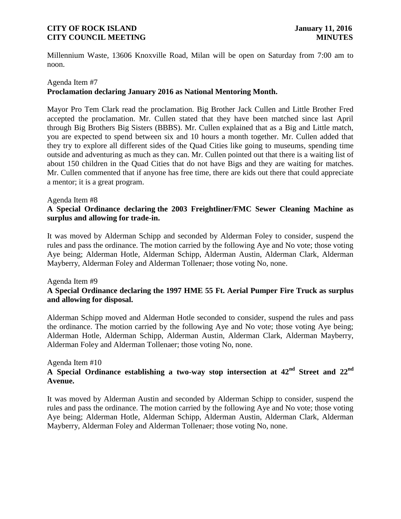Millennium Waste, 13606 Knoxville Road, Milan will be open on Saturday from 7:00 am to noon.

# Agenda Item #7 **Proclamation declaring January 2016 as National Mentoring Month.**

Mayor Pro Tem Clark read the proclamation. Big Brother Jack Cullen and Little Brother Fred accepted the proclamation. Mr. Cullen stated that they have been matched since last April through Big Brothers Big Sisters (BBBS). Mr. Cullen explained that as a Big and Little match, you are expected to spend between six and 10 hours a month together. Mr. Cullen added that they try to explore all different sides of the Quad Cities like going to museums, spending time outside and adventuring as much as they can. Mr. Cullen pointed out that there is a waiting list of about 150 children in the Quad Cities that do not have Bigs and they are waiting for matches. Mr. Cullen commented that if anyone has free time, there are kids out there that could appreciate a mentor; it is a great program.

#### Agenda Item #8

# **A Special Ordinance declaring the 2003 Freightliner/FMC Sewer Cleaning Machine as surplus and allowing for trade-in.**

It was moved by Alderman Schipp and seconded by Alderman Foley to consider, suspend the rules and pass the ordinance. The motion carried by the following Aye and No vote; those voting Aye being; Alderman Hotle, Alderman Schipp, Alderman Austin, Alderman Clark, Alderman Mayberry, Alderman Foley and Alderman Tollenaer; those voting No, none.

#### Agenda Item #9

## **A Special Ordinance declaring the 1997 HME 55 Ft. Aerial Pumper Fire Truck as surplus and allowing for disposal.**

Alderman Schipp moved and Alderman Hotle seconded to consider, suspend the rules and pass the ordinance. The motion carried by the following Aye and No vote; those voting Aye being; Alderman Hotle, Alderman Schipp, Alderman Austin, Alderman Clark, Alderman Mayberry, Alderman Foley and Alderman Tollenaer; those voting No, none.

#### Agenda Item #10

# **A Special Ordinance establishing a two-way stop intersection at 42nd Street and 22nd Avenue.**

It was moved by Alderman Austin and seconded by Alderman Schipp to consider, suspend the rules and pass the ordinance. The motion carried by the following Aye and No vote; those voting Aye being; Alderman Hotle, Alderman Schipp, Alderman Austin, Alderman Clark, Alderman Mayberry, Alderman Foley and Alderman Tollenaer; those voting No, none.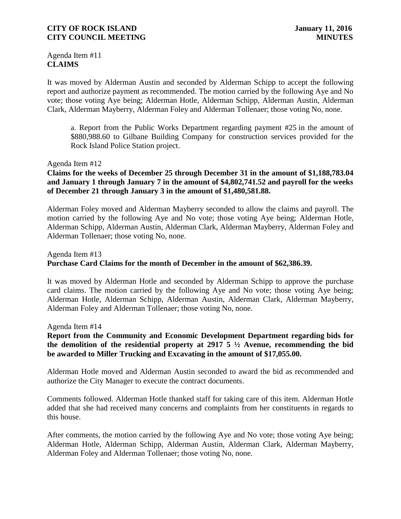Agenda Item #11 **CLAIMS**

It was moved by Alderman Austin and seconded by Alderman Schipp to accept the following report and authorize payment as recommended. The motion carried by the following Aye and No vote; those voting Aye being; Alderman Hotle, Alderman Schipp, Alderman Austin, Alderman Clark, Alderman Mayberry, Alderman Foley and Alderman Tollenaer; those voting No, none.

a. Report from the Public Works Department regarding payment #25 in the amount of \$880,988.60 to Gilbane Building Company for construction services provided for the Rock Island Police Station project.

#### Agenda Item #12

## **Claims for the weeks of December 25 through December 31 in the amount of \$1,188,783.04 and January 1 through January 7 in the amount of \$4,802,741.52 and payroll for the weeks of December 21 through January 3 in the amount of \$1,480,581.88.**

Alderman Foley moved and Alderman Mayberry seconded to allow the claims and payroll. The motion carried by the following Aye and No vote; those voting Aye being; Alderman Hotle, Alderman Schipp, Alderman Austin, Alderman Clark, Alderman Mayberry, Alderman Foley and Alderman Tollenaer; those voting No, none.

# Agenda Item #13 **Purchase Card Claims for the month of December in the amount of \$62,386.39.**

It was moved by Alderman Hotle and seconded by Alderman Schipp to approve the purchase card claims. The motion carried by the following Aye and No vote; those voting Aye being; Alderman Hotle, Alderman Schipp, Alderman Austin, Alderman Clark, Alderman Mayberry, Alderman Foley and Alderman Tollenaer; those voting No, none.

Agenda Item #14

## **Report from the Community and Economic Development Department regarding bids for the demolition of the residential property at 2917 5 ½ Avenue, recommending the bid be awarded to Miller Trucking and Excavating in the amount of \$17,055.00.**

Alderman Hotle moved and Alderman Austin seconded to award the bid as recommended and authorize the City Manager to execute the contract documents.

Comments followed. Alderman Hotle thanked staff for taking care of this item. Alderman Hotle added that she had received many concerns and complaints from her constituents in regards to this house.

After comments, the motion carried by the following Aye and No vote; those voting Aye being; Alderman Hotle, Alderman Schipp, Alderman Austin, Alderman Clark, Alderman Mayberry, Alderman Foley and Alderman Tollenaer; those voting No, none.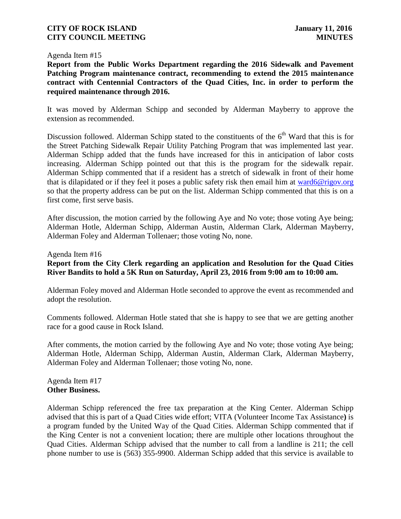#### Agenda Item #15

**Report from the Public Works Department regarding the 2016 Sidewalk and Pavement Patching Program maintenance contract, recommending to extend the 2015 maintenance contract with Centennial Contractors of the Quad Cities, Inc. in order to perform the required maintenance through 2016.** 

It was moved by Alderman Schipp and seconded by Alderman Mayberry to approve the extension as recommended.

Discussion followed. Alderman Schipp stated to the constituents of the  $6<sup>th</sup>$  Ward that this is for the Street Patching Sidewalk Repair Utility Patching Program that was implemented last year. Alderman Schipp added that the funds have increased for this in anticipation of labor costs increasing. Alderman Schipp pointed out that this is the program for the sidewalk repair. Alderman Schipp commented that if a resident has a stretch of sidewalk in front of their home that is dilapidated or if they feel it poses a public safety risk then email him at [ward6@rigov.org](mailto:ward6@rigov.org) so that the property address can be put on the list. Alderman Schipp commented that this is on a first come, first serve basis.

After discussion, the motion carried by the following Aye and No vote; those voting Aye being; Alderman Hotle, Alderman Schipp, Alderman Austin, Alderman Clark, Alderman Mayberry, Alderman Foley and Alderman Tollenaer; those voting No, none.

# Agenda Item #16 **Report from the City Clerk regarding an application and Resolution for the Quad Cities River Bandits to hold a 5K Run on Saturday, April 23, 2016 from 9:00 am to 10:00 am.**

Alderman Foley moved and Alderman Hotle seconded to approve the event as recommended and adopt the resolution.

Comments followed. Alderman Hotle stated that she is happy to see that we are getting another race for a good cause in Rock Island.

After comments, the motion carried by the following Aye and No vote; those voting Aye being; Alderman Hotle, Alderman Schipp, Alderman Austin, Alderman Clark, Alderman Mayberry, Alderman Foley and Alderman Tollenaer; those voting No, none.

Agenda Item #17 **Other Business.**

Alderman Schipp referenced the free tax preparation at the King Center. Alderman Schipp advised that this is part of a Quad Cities wide effort; VITA (Volunteer Income Tax Assistance**)** is a program funded by the United Way of the Quad Cities. Alderman Schipp commented that if the King Center is not a convenient location; there are multiple other locations throughout the Quad Cities. Alderman Schipp advised that the number to call from a landline is 211; the cell phone number to use is (563) 355-9900. Alderman Schipp added that this service is available to